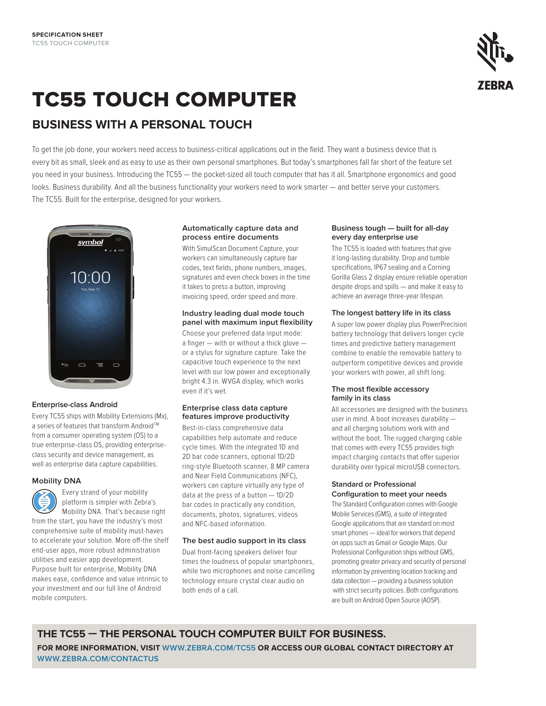

# TC55 touch computer

# **business with a personal touch**

To get the job done, your workers need access to business-critical applications out in the field. They want a business device that is every bit as small, sleek and as easy to use as their own personal smartphones. But today's smartphones fall far short of the feature set you need in your business. Introducing the TC55 — the pocket-sized all touch computer that has it all. Smartphone ergonomics and good looks. Business durability. And all the business functionality your workers need to work smarter — and better serve your customers. The TC55. Built for the enterprise, designed for your workers.



# **Enterprise-class Android**

Every TC55 ships with Mobility Extensions (Mx), a series of features that transform Android™ from a consumer operating system (OS) to a true enterprise-class OS, providing enterpriseclass security and device management, as well as enterprise data capture capabilities.

#### **Mobility DNA**



 Every strand of your mobility platform is simpler with Zebra's Mobility DNA. That's because right from the start, you have the industry's most comprehensive suite of mobility must-haves to accelerate your solution. More off-the shelf

end-user apps, more robust administration utilities and easier app development. Purpose built for enterprise, Mobility DNA makes ease, confidence and value intrinsic to your investment and our full line of Android mobile computers.

# **Automatically capture data and process entire documents**

With SimulScan Document Capture, your workers can simultaneously capture bar codes, text fields, phone numbers, images, signatures and even check boxes in the time it takes to press a button, improving invoicing speed, order speed and more.

#### **Industry leading dual mode touch panel with maximum input flexibility**

Choose your preferred data input mode: a finger — with or without a thick glove or a stylus for signature capture. Take the capacitive touch experience to the next level with our low power and exceptionally bright 4.3 in. WVGA display, which works even if it's wet.

#### **Enterprise class data capture features improve productivity**

Best-in-class comprehensive data capabilities help automate and reduce cycle times. With the integrated 1D and 2D bar code scanners, optional 1D/2D ring-style Bluetooth scanner, 8 MP camera and Near Field Communications (NFC), workers can capture virtually any type of data at the press of a button — 1D/2D bar codes in practically any condition, documents, photos, signatures, videos and NFC-based information.

# **The best audio support in its class**

Dual front-facing speakers deliver four times the loudness of popular smartphones, while two microphones and noise cancelling technology ensure crystal clear audio on both ends of a call.

#### **Business tough — built for all-day every day enterprise use**

The TC55 is loaded with features that give it long-lasting durability. Drop and tumble specifications, IP67 sealing and a Corning Gorilla Glass 2 display ensure reliable operation despite drops and spills — and make it easy to achieve an average three-year lifespan.

# **The longest battery life in its class**

A super low power display plus PowerPrecision battery technology that delivers longer cycle times and predictive battery management combine to enable the removable battery to outperform competitive devices and provide your workers with power, all shift long.

# **The most flexible accessory family in its class**

All accessories are designed with the business user in mind. A boot increases durability and all charging solutions work with and without the boot. The rugged charging cable that comes with every TC55 provides high impact charging contacts that offer superior durability over typical microUSB connectors.

# **Standard or Professional Configuration to meet your needs**

The Standard Configuration comes with Google Mobile Services (GMS), a suite of integrated Google applications that are standard on most smart phones — ideal for workers that depend on apps such as Gmail or Google Maps. Our Professional Configuration ships without GMS, promoting greater privacy and security of personal information by preventing location tracking and data collection — providing a business solution with strict security policies. Both configurations are built on Android Open Source (AOSP).

**The TC55 — The Personal Touch Computer Built for Business. For more information, visit www.zebra.com/TC55 or access our global contact directory at www.zebra.com/contactus**